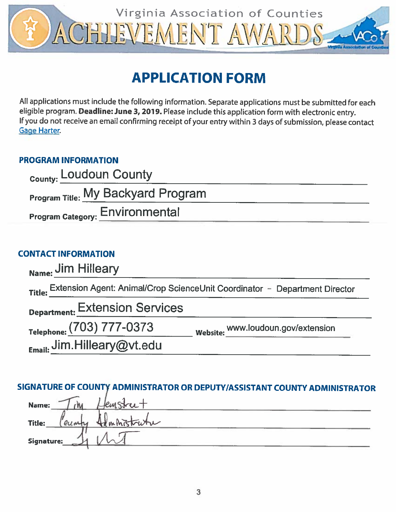

# **APPLICATION FORM**

All applications must include the following information. Separate applications must be submitted for each eligible program. Deadline: June 3, 2019. Please include this application form with electronic entry. If you do not receive an email confirming receipt of your entry within 3 days of submission, please contact **Gage Harter.** 

### **PROGRAM INFORMATION**

| County: Loudoun County                 |  |
|----------------------------------------|--|
| Program Title: My Backyard Program     |  |
| <b>Program Category: Environmental</b> |  |

### **CONTACT INFORMATION**

| Name: Jim Hilleary               |                                                                                   |
|----------------------------------|-----------------------------------------------------------------------------------|
|                                  | Title: Extension Agent: Animal/Crop ScienceUnit Coordinator - Department Director |
| Department: Extension Services   |                                                                                   |
| Telephone: (703) 777-0373        | Website: www.loudoun.gov/extension                                                |
| $_{Email:}$ Jim. Hilleary@vt.edu |                                                                                   |

### SIGNATURE OF COUNTY ADMINISTRATOR OR DEPUTY/ASSISTANT COUNTY ADMINISTRATOR

| Name:      | lstret.     |  |
|------------|-------------|--|
| Title:     | Hammistrutu |  |
| Signature: |             |  |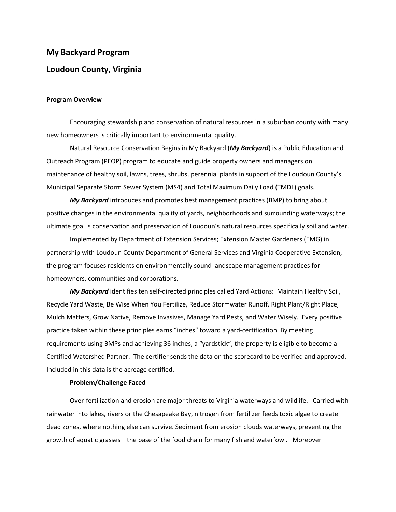## **My Backyard Program Loudoun County, Virginia**

#### **Program Overview**

Encouraging stewardship and conservation of natural resources in a suburban county with many new homeowners is critically important to environmental quality.

Natural Resource Conservation Begins in My Backyard (*My Backyard*) is a Public Education and Outreach Program (PEOP) program to educate and guide property owners and managers on maintenance of healthy soil, lawns, trees, shrubs, perennial plants in support of the Loudoun County's Municipal Separate Storm Sewer System (MS4) and Total Maximum Daily Load (TMDL) goals.

*My Backyard* introduces and promotes best management practices (BMP) to bring about positive changes in the environmental quality of yards, neighborhoods and surrounding waterways; the ultimate goal is conservation and preservation of Loudoun's natural resources specifically soil and water.

Implemented by Department of Extension Services; Extension Master Gardeners (EMG) in partnership with Loudoun County Department of General Services and Virginia Cooperative Extension, the program focuses residents on environmentally sound landscape management practices for homeowners, communities and corporations.

*My Backyard* identifies ten self-directed principles called Yard Actions: Maintain Healthy Soil, Recycle Yard Waste, Be Wise When You Fertilize, Reduce Stormwater Runoff, Right Plant/Right Place, Mulch Matters, Grow Native, Remove Invasives, Manage Yard Pests, and Water Wisely. Every positive practice taken within these principles earns "inches" toward a yard-certification. By meeting requirements using BMPs and achieving 36 inches, a "yardstick", the property is eligible to become a Certified Watershed Partner. The certifier sends the data on the scorecard to be verified and approved. Included in this data is the acreage certified.

#### **Problem/Challenge Faced**

Over-fertilization and erosion are major threats to Virginia waterways and wildlife. Carried with rainwater into lakes, rivers or the Chesapeake Bay, nitrogen from fertilizer feeds toxic algae to create dead zones, where nothing else can survive. Sediment from erosion clouds waterways, preventing the growth of aquatic grasses—the base of the food chain for many fish and waterfowl. Moreover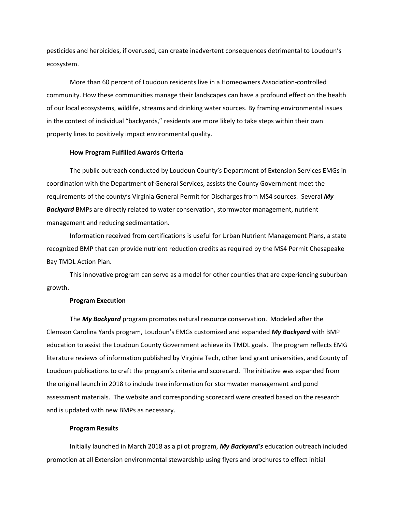pesticides and herbicides, if overused, can create inadvertent consequences detrimental to Loudoun's ecosystem.

More than 60 percent of Loudoun residents live in a Homeowners Association-controlled community. How these communities manage their landscapes can have a profound effect on the health of our local ecosystems, wildlife, streams and drinking water sources. By framing environmental issues in the context of individual "backyards," residents are more likely to take steps within their own property lines to positively impact environmental quality.

#### **How Program Fulfilled Awards Criteria**

The public outreach conducted by Loudoun County's Department of Extension Services EMGs in coordination with the Department of General Services, assists the County Government meet the requirements of the county's Virginia General Permit for Discharges from MS4 sources. Several *My Backyard* BMPs are directly related to water conservation, stormwater management, nutrient management and reducing sedimentation.

Information received from certifications is useful for Urban Nutrient Management Plans, a state recognized BMP that can provide nutrient reduction credits as required by the MS4 Permit Chesapeake Bay TMDL Action Plan.

This innovative program can serve as a model for other counties that are experiencing suburban growth.

#### **Program Execution**

The *My Backyard* program promotes natural resource conservation. Modeled after the Clemson Carolina Yards program, Loudoun's EMGs customized and expanded *My Backyard* with BMP education to assist the Loudoun County Government achieve its TMDL goals. The program reflects EMG literature reviews of information published by Virginia Tech, other land grant universities, and County of Loudoun publications to craft the program's criteria and scorecard. The initiative was expanded from the original launch in 2018 to include tree information for stormwater management and pond assessment materials. The website and corresponding scorecard were created based on the research and is updated with new BMPs as necessary.

#### **Program Results**

Initially launched in March 2018 as a pilot program, *My Backyard's* education outreach included promotion at all Extension environmental stewardship using flyers and brochures to effect initial